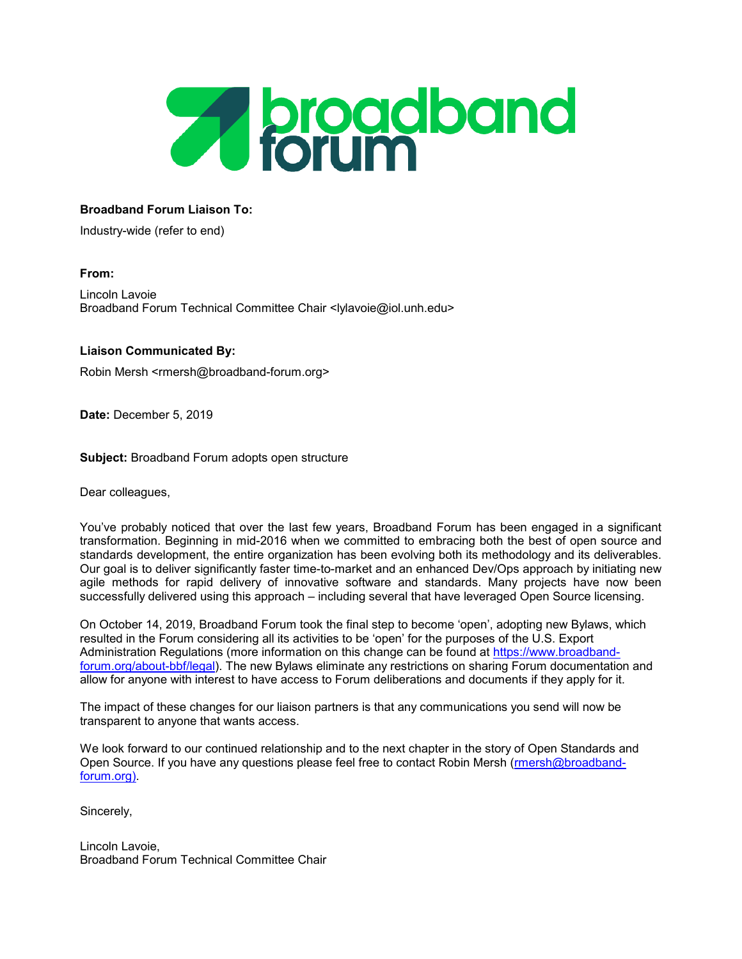

## **Broadband Forum Liaison To:**

Industry-wide (refer to end)

# **From:**

Lincoln Lavoie Broadband Forum Technical Committee Chair <lylavoie@iol.unh.edu>

### **Liaison Communicated By:**

Robin Mersh <rmersh@broadband-forum.org>

**Date:** December 5, 2019

**Subject:** Broadband Forum adopts open structure

Dear colleagues,

You've probably noticed that over the last few years, Broadband Forum has been engaged in a significant transformation. Beginning in mid-2016 when we committed to embracing both the best of open source and standards development, the entire organization has been evolving both its methodology and its deliverables. Our goal is to deliver significantly faster time-to-market and an enhanced Dev/Ops approach by initiating new agile methods for rapid delivery of innovative software and standards. Many projects have now been successfully delivered using this approach – including several that have leveraged Open Source licensing.

On October 14, 2019, Broadband Forum took the final step to become 'open', adopting new Bylaws, which resulted in the Forum considering all its activities to be 'open' for the purposes of the U.S. Export Administration Regulations (more information on this change can be found at [https://www.broadband](https://www.broadband-forum.org/about-bbf/legal)[forum.org/about-bbf/legal\)](https://www.broadband-forum.org/about-bbf/legal). The new Bylaws eliminate any restrictions on sharing Forum documentation and allow for anyone with interest to have access to Forum deliberations and documents if they apply for it.

The impact of these changes for our liaison partners is that any communications you send will now be transparent to anyone that wants access.

We look forward to our continued relationship and to the next chapter in the story of Open Standards and Open Source. If you have any questions please feel free to contact Robin Mersh [\(rmersh@broadband](mailto:rmersh@broadband-forum.org)[forum.org\).](mailto:rmersh@broadband-forum.org)

Sincerely,

Lincoln Lavoie, Broadband Forum Technical Committee Chair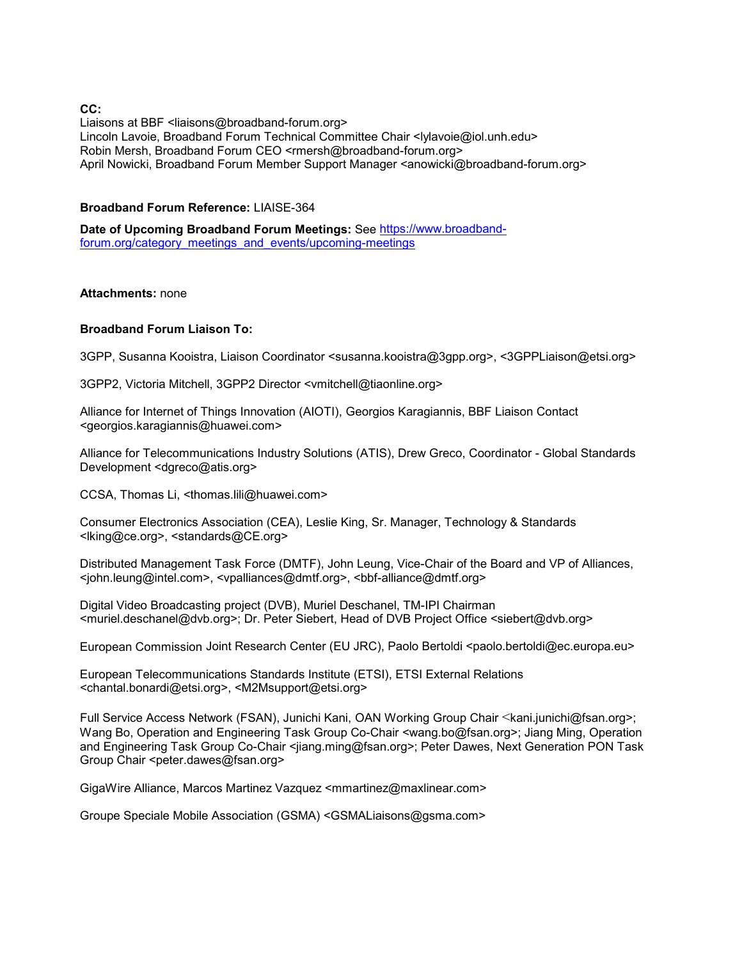**CC:**

Liaisons at BBF <liaisons@broadband-forum.org> Lincoln Lavoie, Broadband Forum Technical Committee Chair <lylavoie@iol.unh.edu> Robin Mersh, Broadband Forum CEO <rmersh@broadband-forum.org> April Nowicki, Broadband Forum Member Support Manager <anowicki@broadband-forum.org>

### **Broadband Forum Reference:** LIAISE-364

**Date of Upcoming Broadband Forum Meetings:** See [https://www.broadband](https://www.broadband-forum.org/category_meetings_and_events/upcoming-meetings)[forum.org/category\\_meetings\\_and\\_events/upcoming-meetings](https://www.broadband-forum.org/category_meetings_and_events/upcoming-meetings)

#### **Attachments:** none

### **Broadband Forum Liaison To:**

3GPP, Susanna Kooistra, Liaison Coordinator <susanna.kooistra@3gpp.org>, <3GPPLiaison@etsi.org>

3GPP2, Victoria Mitchell, 3GPP2 Director <vmitchell@tiaonline.org>

Alliance for Internet of Things Innovation (AIOTI), Georgios Karagiannis, BBF Liaison Contact <georgios.karagiannis@huawei.com>

Alliance for Telecommunications Industry Solutions (ATIS), Drew Greco, Coordinator - Global Standards Development <dgreco@atis.org>

CCSA, Thomas Li, <thomas.lili@huawei.com>

Consumer Electronics Association (CEA), Leslie King, Sr. Manager, Technology & Standards <lking@ce.org>, <standards@CE.org>

Distributed Management Task Force (DMTF), John Leung, Vice-Chair of the Board and VP of Alliances, <john.leung@intel.com>, <vpalliances@dmtf.org>, <bbf-alliance@dmtf.org>

Digital Video Broadcasting project (DVB), Muriel Deschanel, TM-IPI Chairman <muriel.deschanel@dvb.org>; Dr. Peter Siebert, Head of DVB Project Office <siebert@dvb.org>

European Commission Joint Research Center (EU JRC), Paolo Bertoldi <paolo.bertoldi@ec.europa.eu>

European Telecommunications Standards Institute (ETSI), ETSI External Relations <chantal.bonardi@etsi.org>, <M2Msupport@etsi.org>

Full Service Access Network (FSAN), Junichi Kani, OAN Working Group Chair <kani.junichi@fsan.org>; Wang Bo, Operation and Engineering Task Group Co-Chair <wang.bo@fsan.org>; Jiang Ming, Operation and Engineering Task Group Co-Chair <jiang.ming@fsan.org>; Peter Dawes, Next Generation PON Task Group Chair <peter.dawes@fsan.org>

GigaWire Alliance, Marcos Martinez Vazquez <mmartinez@maxlinear.com>

Groupe Speciale Mobile Association (GSMA) <GSMALiaisons@gsma.com>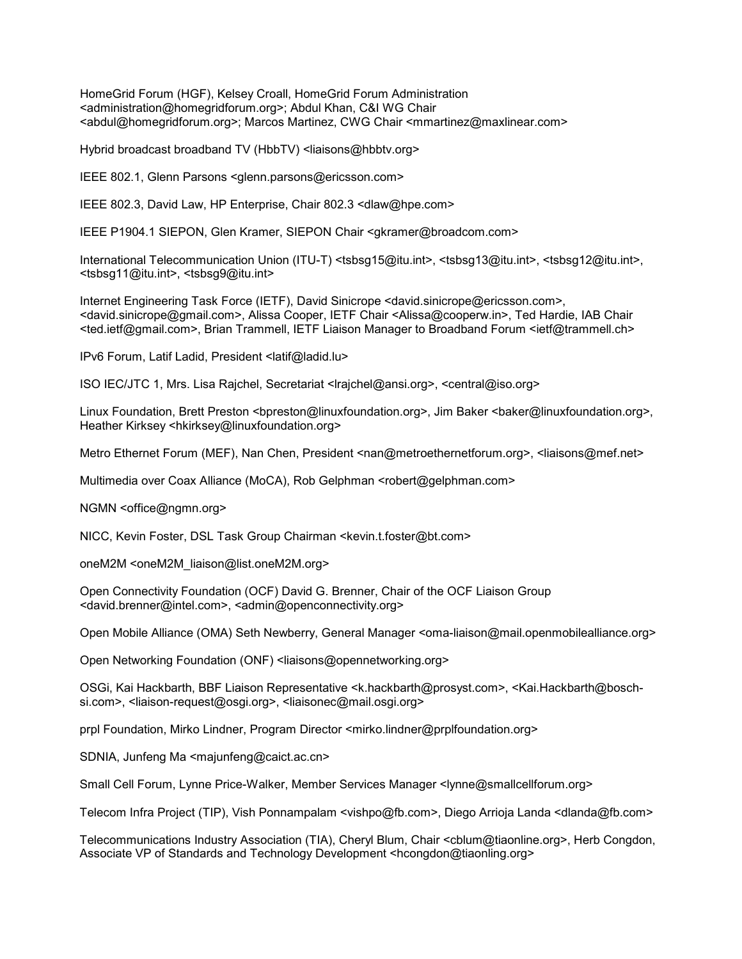HomeGrid Forum (HGF), Kelsey Croall, HomeGrid Forum Administration <administration@homegridforum.org>; Abdul Khan, C&I WG Chair <abdul@homegridforum.org>; Marcos Martinez, CWG Chair <mmartinez@maxlinear.com>

Hybrid broadcast broadband TV (HbbTV) <liaisons@hbbtv.org>

IEEE 802.1, Glenn Parsons <glenn.parsons@ericsson.com>

IEEE 802.3, David Law, HP Enterprise, Chair 802.3 <dlaw@hpe.com>

IEEE P1904.1 SIEPON, Glen Kramer, SIEPON Chair <gkramer@broadcom.com>

International Telecommunication Union (ITU-T) <tsbsg15@itu.int>, <tsbsg13@itu.int>, <tsbsg12@itu.int>, <tsbsg11@itu.int>, <tsbsg9@itu.int>

Internet Engineering Task Force (IETF), David Sinicrope <david.sinicrope@ericsson.com>, <david.sinicrope@gmail.com>, Alissa Cooper, IETF Chair <Alissa@cooperw.in>, Ted Hardie, IAB Chair <ted.ietf@gmail.com>, Brian Trammell, IETF Liaison Manager to Broadband Forum <ietf@trammell.ch>

IPv6 Forum, Latif Ladid, President <latif@ladid.lu>

ISO IEC/JTC 1, Mrs. Lisa Rajchel, Secretariat <lrajchel@ansi.org>, <central@iso.org>

Linux Foundation, Brett Preston <br />
<br />
<br />
<br />
Coundation.org>, Lim Baker <br />
<br />
Linux Foundation.org>, Heather Kirksey <hkirksey@linuxfoundation.org>

Metro Ethernet Forum (MEF), Nan Chen, President <nan@metroethernetforum.org>, <liaisons@mef.net>

Multimedia over Coax Alliance (MoCA), Rob Gelphman <robert@gelphman.com>

NGMN <office@ngmn.org>

NICC, Kevin Foster, DSL Task Group Chairman <kevin.t.foster@bt.com>

oneM2M <oneM2M\_liaison@list.oneM2M.org>

Open Connectivity Foundation (OCF) David G. Brenner, Chair of the OCF Liaison Group <david.brenner@intel.com>, <admin@openconnectivity.org>

Open Mobile Alliance (OMA) Seth Newberry, General Manager <oma-liaison@mail.openmobilealliance.org>

Open Networking Foundation (ONF) <liaisons@opennetworking.org>

OSGi, Kai Hackbarth, BBF Liaison Representative <k.hackbarth@prosyst.com>, <Kai.Hackbarth@boschsi.com>, <liaison-request@osgi.org>, <liaisonec@mail.osgi.org>

prpl Foundation, Mirko Lindner, Program Director <mirko.lindner@prplfoundation.org>

SDNIA, Junfeng Ma <majunfeng@caict.ac.cn>

Small Cell Forum, Lynne Price-Walker, Member Services Manager <lynne@smallcellforum.org>

Telecom Infra Project (TIP), Vish Ponnampalam <vishpo@fb.com>, Diego Arrioja Landa <dlanda@fb.com>

Telecommunications Industry Association (TIA), Cheryl Blum, Chair <cblum@tiaonline.org>, Herb Congdon, Associate VP of Standards and Technology Development <hcongdon@tiaonling.org>